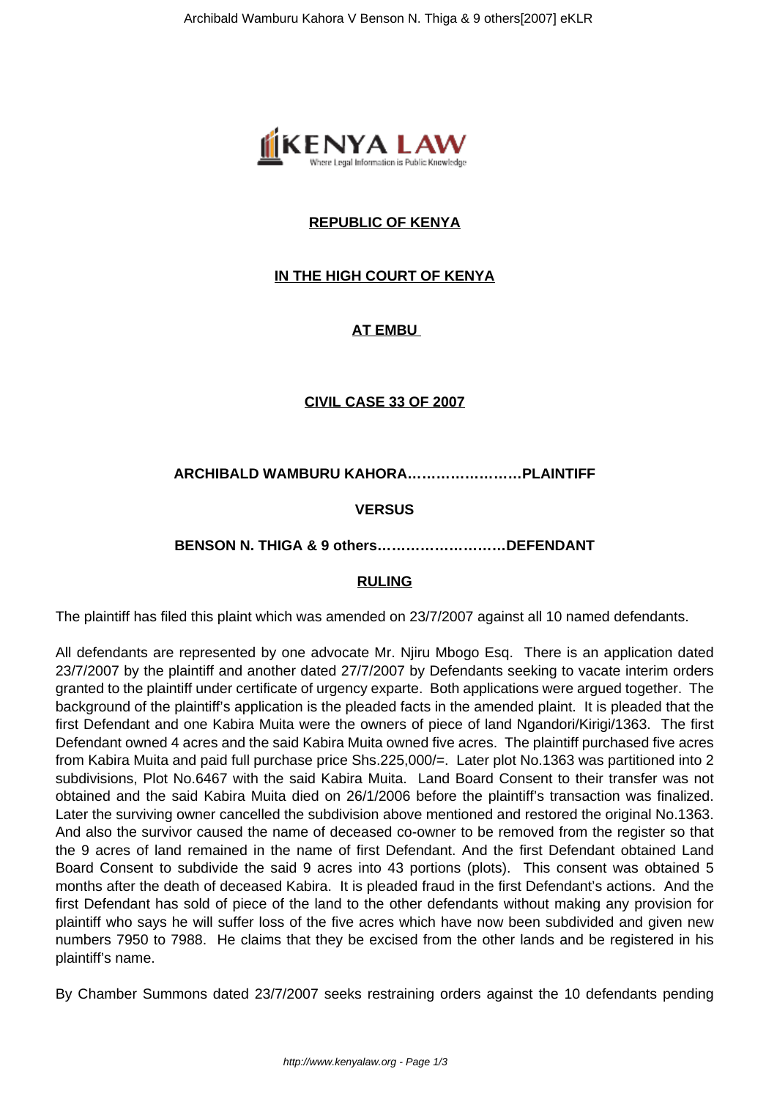

# **REPUBLIC OF KENYA**

# **IN THE HIGH COURT OF KENYA**

# **AT EMBU**

## **CIVIL CASE 33 OF 2007**

**ARCHIBALD WAMBURU KAHORA……………………PLAINTIFF**

# **VERSUS**

#### **BENSON N. THIGA & 9 others………………………DEFENDANT**

## **RULING**

The plaintiff has filed this plaint which was amended on 23/7/2007 against all 10 named defendants.

All defendants are represented by one advocate Mr. Njiru Mbogo Esq. There is an application dated 23/7/2007 by the plaintiff and another dated 27/7/2007 by Defendants seeking to vacate interim orders granted to the plaintiff under certificate of urgency exparte. Both applications were argued together. The background of the plaintiff's application is the pleaded facts in the amended plaint. It is pleaded that the first Defendant and one Kabira Muita were the owners of piece of land Ngandori/Kirigi/1363. The first Defendant owned 4 acres and the said Kabira Muita owned five acres. The plaintiff purchased five acres from Kabira Muita and paid full purchase price Shs.225,000/=. Later plot No.1363 was partitioned into 2 subdivisions, Plot No.6467 with the said Kabira Muita. Land Board Consent to their transfer was not obtained and the said Kabira Muita died on 26/1/2006 before the plaintiff's transaction was finalized. Later the surviving owner cancelled the subdivision above mentioned and restored the original No.1363. And also the survivor caused the name of deceased co-owner to be removed from the register so that the 9 acres of land remained in the name of first Defendant. And the first Defendant obtained Land Board Consent to subdivide the said 9 acres into 43 portions (plots). This consent was obtained 5 months after the death of deceased Kabira. It is pleaded fraud in the first Defendant's actions. And the first Defendant has sold of piece of the land to the other defendants without making any provision for plaintiff who says he will suffer loss of the five acres which have now been subdivided and given new numbers 7950 to 7988. He claims that they be excised from the other lands and be registered in his plaintiff's name.

By Chamber Summons dated 23/7/2007 seeks restraining orders against the 10 defendants pending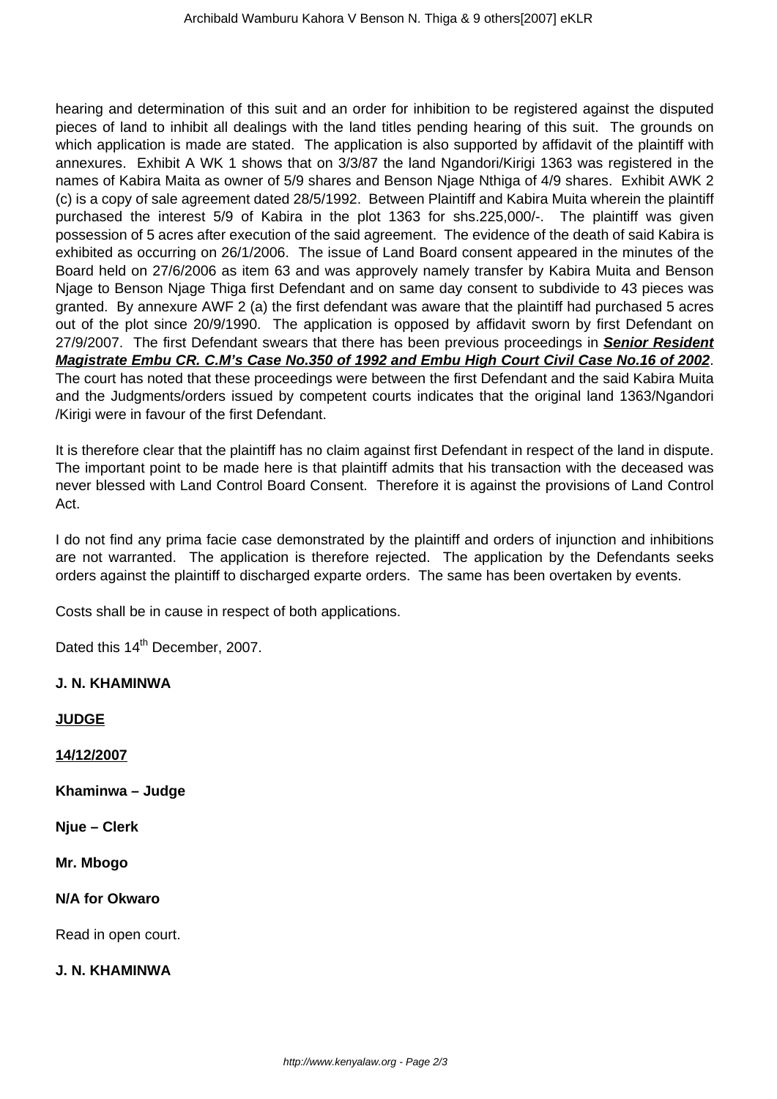hearing and determination of this suit and an order for inhibition to be registered against the disputed pieces of land to inhibit all dealings with the land titles pending hearing of this suit. The grounds on which application is made are stated. The application is also supported by affidavit of the plaintiff with annexures. Exhibit A WK 1 shows that on 3/3/87 the land Ngandori/Kirigi 1363 was registered in the names of Kabira Maita as owner of 5/9 shares and Benson Njage Nthiga of 4/9 shares. Exhibit AWK 2 (c) is a copy of sale agreement dated 28/5/1992. Between Plaintiff and Kabira Muita wherein the plaintiff purchased the interest 5/9 of Kabira in the plot 1363 for shs.225,000/-. The plaintiff was given possession of 5 acres after execution of the said agreement. The evidence of the death of said Kabira is exhibited as occurring on 26/1/2006. The issue of Land Board consent appeared in the minutes of the Board held on 27/6/2006 as item 63 and was approvely namely transfer by Kabira Muita and Benson Njage to Benson Njage Thiga first Defendant and on same day consent to subdivide to 43 pieces was granted. By annexure AWF 2 (a) the first defendant was aware that the plaintiff had purchased 5 acres out of the plot since 20/9/1990. The application is opposed by affidavit sworn by first Defendant on 27/9/2007. The first Defendant swears that there has been previous proceedings in **Senior Resident Magistrate Embu CR. C.M's Case No.350 of 1992 and Embu High Court Civil Case No.16 of 2002**. The court has noted that these proceedings were between the first Defendant and the said Kabira Muita and the Judgments/orders issued by competent courts indicates that the original land 1363/Ngandori /Kirigi were in favour of the first Defendant.

It is therefore clear that the plaintiff has no claim against first Defendant in respect of the land in dispute. The important point to be made here is that plaintiff admits that his transaction with the deceased was never blessed with Land Control Board Consent. Therefore it is against the provisions of Land Control Act.

I do not find any prima facie case demonstrated by the plaintiff and orders of injunction and inhibitions are not warranted. The application is therefore rejected. The application by the Defendants seeks orders against the plaintiff to discharged exparte orders. The same has been overtaken by events.

Costs shall be in cause in respect of both applications.

Dated this 14<sup>th</sup> December, 2007.

#### **J. N. KHAMINWA**

**JUDGE**

**14/12/2007**

**Khaminwa – Judge**

**Njue – Clerk**

**Mr. Mbogo**

**N/A for Okwaro** 

Read in open court.

#### **J. N. KHAMINWA**